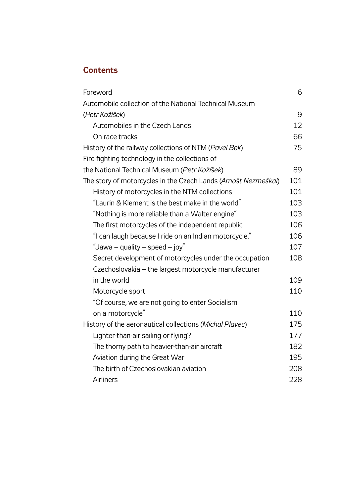## **Contents**

| Foreword                                                       | 6   |
|----------------------------------------------------------------|-----|
| Automobile collection of the National Technical Museum         |     |
| (Petr Kožíšek)                                                 | 9   |
| Automobiles in the Czech Lands                                 | 12  |
| On race tracks                                                 | 66  |
| History of the railway collections of NTM (Pavel Bek)          | 75  |
| Fire-fighting technology in the collections of                 |     |
| the National Technical Museum (Petr Kožíšek)                   | 89  |
| The story of motorcycles in the Czech Lands (Arnošt Nezmeškal) | 101 |
| History of motorcycles in the NTM collections                  | 101 |
| "Laurin & Klement is the best make in the world"               | 103 |
| "Nothing is more reliable than a Walter engine"                | 103 |
| The first motorcycles of the independent republic              | 106 |
| "I can laugh because I ride on an Indian motorcycle."          | 106 |
| "Jawa – quality – speed – joy"                                 | 107 |
| Secret development of motorcycles under the occupation         | 108 |
| Czechoslovakia – the largest motorcycle manufacturer           |     |
| in the world                                                   | 109 |
| Motorcycle sport                                               | 110 |
| "Of course, we are not going to enter Socialism                |     |
| on a motorcycle"                                               | 110 |
| History of the aeronautical collections (Michal Plavec)        | 175 |
| Lighter-than-air sailing or flying?                            | 177 |
| The thorny path to heavier-than-air aircraft                   | 182 |
| Aviation during the Great War                                  | 195 |
| The birth of Czechoslovakian aviation                          | 208 |
| Airliners                                                      | 228 |